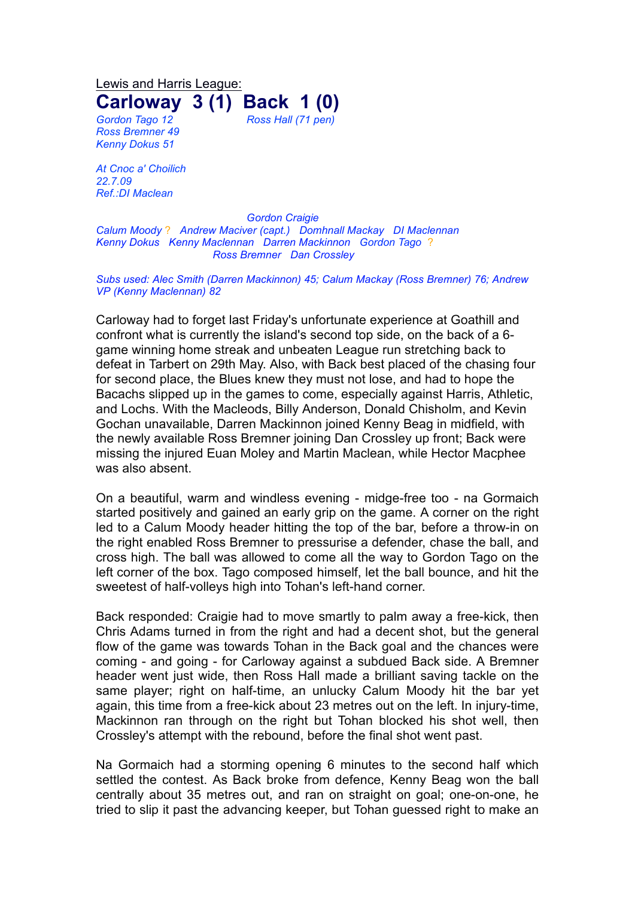Lewis and Harris League: **Carloway 3 (1) Back 1 (0)**

*Ross Bremner 49 Kenny Dokus 51*

*Gordon Tago 12 Ross Hall (71 pen)*

*At Cnoc a' Choilich 22.7.09 Ref.:DI Maclean*

*Gordon Craigie Calum Moody* ? *Andrew Maciver (capt.) Domhnall Mackay DI Maclennan Kenny Dokus Kenny Maclennan Darren Mackinnon Gordon Tago* ? *Ross Bremner Dan Crossley*

*Subs used: Alec Smith (Darren Mackinnon) 45; Calum Mackay (Ross Bremner) 76; Andrew VP (Kenny Maclennan) 82*

Carloway had to forget last Friday's unfortunate experience at Goathill and confront what is currently the island's second top side, on the back of a 6 game winning home streak and unbeaten League run stretching back to defeat in Tarbert on 29th May. Also, with Back best placed of the chasing four for second place, the Blues knew they must not lose, and had to hope the Bacachs slipped up in the games to come, especially against Harris, Athletic, and Lochs. With the Macleods, Billy Anderson, Donald Chisholm, and Kevin Gochan unavailable, Darren Mackinnon joined Kenny Beag in midfield, with the newly available Ross Bremner joining Dan Crossley up front; Back were missing the injured Euan Moley and Martin Maclean, while Hector Macphee was also absent.

On a beautiful, warm and windless evening - midge-free too - na Gormaich started positively and gained an early grip on the game. A corner on the right led to a Calum Moody header hitting the top of the bar, before a throw-in on the right enabled Ross Bremner to pressurise a defender, chase the ball, and cross high. The ball was allowed to come all the way to Gordon Tago on the left corner of the box. Tago composed himself, let the ball bounce, and hit the sweetest of half-volleys high into Tohan's left-hand corner.

Back responded: Craigie had to move smartly to palm away a free-kick, then Chris Adams turned in from the right and had a decent shot, but the general flow of the game was towards Tohan in the Back goal and the chances were coming - and going - for Carloway against a subdued Back side. A Bremner header went just wide, then Ross Hall made a brilliant saving tackle on the same player; right on half-time, an unlucky Calum Moody hit the bar yet again, this time from a free-kick about 23 metres out on the left. In injury-time, Mackinnon ran through on the right but Tohan blocked his shot well, then Crossley's attempt with the rebound, before the final shot went past.

Na Gormaich had a storming opening 6 minutes to the second half which settled the contest. As Back broke from defence, Kenny Beag won the ball centrally about 35 metres out, and ran on straight on goal; one-on-one, he tried to slip it past the advancing keeper, but Tohan guessed right to make an